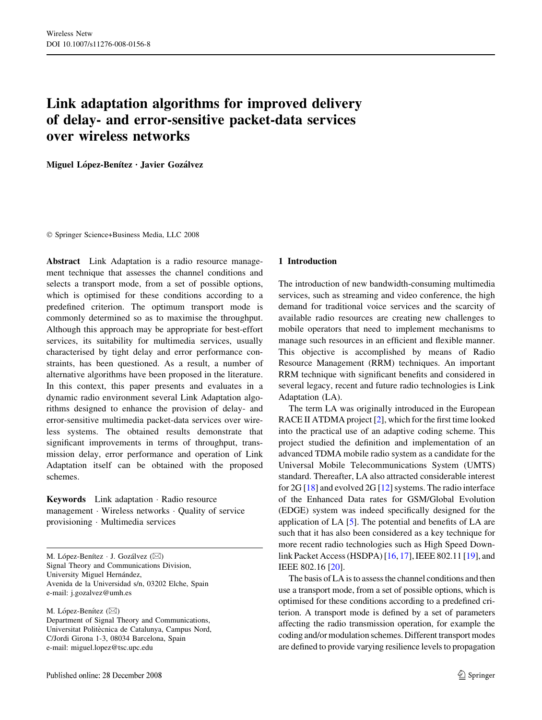# Link adaptation algorithms for improved delivery of delay- and error-sensitive packet-data services over wireless networks

Miguel López-Benítez · Javier Gozálvez

Springer Science+Business Media, LLC 2008

Abstract Link Adaptation is a radio resource management technique that assesses the channel conditions and selects a transport mode, from a set of possible options, which is optimised for these conditions according to a predefined criterion. The optimum transport mode is commonly determined so as to maximise the throughput. Although this approach may be appropriate for best-effort services, its suitability for multimedia services, usually characterised by tight delay and error performance constraints, has been questioned. As a result, a number of alternative algorithms have been proposed in the literature. In this context, this paper presents and evaluates in a dynamic radio environment several Link Adaptation algorithms designed to enhance the provision of delay- and error-sensitive multimedia packet-data services over wireless systems. The obtained results demonstrate that significant improvements in terms of throughput, transmission delay, error performance and operation of Link Adaptation itself can be obtained with the proposed schemes.

Keywords Link adaptation · Radio resource management  $\cdot$  Wireless networks  $\cdot$  Quality of service provisioning · Multimedia services

M. López-Benítez · J. Gozálvez (⊠) Signal Theory and Communications Division, University Miguel Hernández, Avenida de la Universidad s/n, 03202 Elche, Spain e-mail: j.gozalvez@umh.es

M. López-Benítez ( $\boxtimes$ )

Department of Signal Theory and Communications, Universitat Politècnica de Catalunya, Campus Nord, C/Jordi Girona 1-3, 08034 Barcelona, Spain e-mail: miguel.lopez@tsc.upc.edu

## 1 Introduction

The introduction of new bandwidth-consuming multimedia services, such as streaming and video conference, the high demand for traditional voice services and the scarcity of available radio resources are creating new challenges to mobile operators that need to implement mechanisms to manage such resources in an efficient and flexible manner. This objective is accomplished by means of Radio Resource Management (RRM) techniques. An important RRM technique with significant benefits and considered in several legacy, recent and future radio technologies is Link Adaptation (LA).

The term LA was originally introduced in the European RACE II ATDMA project [\[2](#page-12-0)], which for the first time looked into the practical use of an adaptive coding scheme. This project studied the definition and implementation of an advanced TDMA mobile radio system as a candidate for the Universal Mobile Telecommunications System (UMTS) standard. Thereafter, LA also attracted considerable interest for 2G [[18\]](#page-12-0) and evolved 2G [[12\]](#page-12-0) systems. The radio interface of the Enhanced Data rates for GSM/Global Evolution (EDGE) system was indeed specifically designed for the application of LA [[5\]](#page-12-0). The potential and benefits of LA are such that it has also been considered as a key technique for more recent radio technologies such as High Speed Downlink Packet Access (HSDPA) [\[16](#page-12-0), [17](#page-12-0)], IEEE 802.11 [\[19](#page-12-0)], and IEEE 802.16 [[20\]](#page-12-0).

The basis of LA is to assess the channel conditions and then use a transport mode, from a set of possible options, which is optimised for these conditions according to a predefined criterion. A transport mode is defined by a set of parameters affecting the radio transmission operation, for example the coding and/or modulation schemes. Different transport modes are defined to provide varying resilience levels to propagation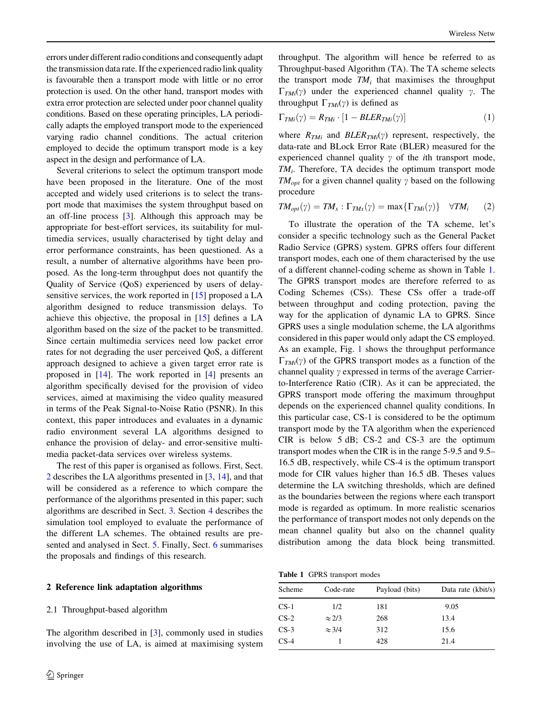<span id="page-1-0"></span>errors under different radio conditions and consequently adapt the transmission data rate. If the experienced radio link quality is favourable then a transport mode with little or no error protection is used. On the other hand, transport modes with extra error protection are selected under poor channel quality conditions. Based on these operating principles, LA periodically adapts the employed transport mode to the experienced varying radio channel conditions. The actual criterion employed to decide the optimum transport mode is a key aspect in the design and performance of LA.

Several criterions to select the optimum transport mode have been proposed in the literature. One of the most accepted and widely used criterions is to select the transport mode that maximises the system throughput based on an off-line process [\[3](#page-12-0)]. Although this approach may be appropriate for best-effort services, its suitability for multimedia services, usually characterised by tight delay and error performance constraints, has been questioned. As a result, a number of alternative algorithms have been proposed. As the long-term throughput does not quantify the Quality of Service (QoS) experienced by users of delaysensitive services, the work reported in [[15\]](#page-12-0) proposed a LA algorithm designed to reduce transmission delays. To achieve this objective, the proposal in [[15\]](#page-12-0) defines a LA algorithm based on the size of the packet to be transmitted. Since certain multimedia services need low packet error rates for not degrading the user perceived QoS, a different approach designed to achieve a given target error rate is proposed in [\[14](#page-12-0)]. The work reported in [[4\]](#page-12-0) presents an algorithm specifically devised for the provision of video services, aimed at maximising the video quality measured in terms of the Peak Signal-to-Noise Ratio (PSNR). In this context, this paper introduces and evaluates in a dynamic radio environment several LA algorithms designed to enhance the provision of delay- and error-sensitive multimedia packet-data services over wireless systems.

The rest of this paper is organised as follows. First, Sect. 2 describes the LA algorithms presented in [[3,](#page-12-0) [14\]](#page-12-0), and that will be considered as a reference to which compare the performance of the algorithms presented in this paper; such algorithms are described in Sect. [3.](#page-2-0) Section [4](#page-5-0) describes the simulation tool employed to evaluate the performance of the different LA schemes. The obtained results are presented and analysed in Sect. [5.](#page-7-0) Finally, Sect. [6](#page-12-0) summarises the proposals and findings of this research.

#### 2 Reference link adaptation algorithms

# 2.1 Throughput-based algorithm

The algorithm described in [\[3](#page-12-0)], commonly used in studies involving the use of LA, is aimed at maximising system

throughput. The algorithm will hence be referred to as Throughput-based Algorithm (TA). The TA scheme selects the transport mode  $TM_i$  that maximises the throughput  $\Gamma_{TM}(\gamma)$  under the experienced channel quality  $\gamma$ . The throughput  $\Gamma_{TMi}(\gamma)$  is defined as

$$
\Gamma_{TMi}(\gamma) = R_{TMi} \cdot [1 - BLER_{TMi}(\gamma)] \tag{1}
$$

where  $R_{TMi}$  and  $BLER_{TMi}(\gamma)$  represent, respectively, the data-rate and BLock Error Rate (BLER) measured for the experienced channel quality  $\gamma$  of the *i*th transport mode,  $TM_i$ . Therefore, TA decides the optimum transport mode  $TM_{\text{out}}$  for a given channel quality  $\gamma$  based on the following procedure

$$
TM_{opt}(\gamma) = TM_x : \Gamma_{TMx}(\gamma) = \max\{\Gamma_{TMi}(\gamma)\} \quad \forall TM_i \qquad (2)
$$

To illustrate the operation of the TA scheme, let's consider a specific technology such as the General Packet Radio Service (GPRS) system. GPRS offers four different transport modes, each one of them characterised by the use of a different channel-coding scheme as shown in Table 1. The GPRS transport modes are therefore referred to as Coding Schemes (CSs). These CSs offer a trade-off between throughput and coding protection, paving the way for the application of dynamic LA to GPRS. Since GPRS uses a single modulation scheme, the LA algorithms considered in this paper would only adapt the CS employed. As an example, Fig. [1](#page-2-0) shows the throughput performance  $\Gamma_{TM}(\gamma)$  of the GPRS transport modes as a function of the channel quality  $\gamma$  expressed in terms of the average Carrierto-Interference Ratio (CIR). As it can be appreciated, the GPRS transport mode offering the maximum throughput depends on the experienced channel quality conditions. In this particular case, CS-1 is considered to be the optimum transport mode by the TA algorithm when the experienced CIR is below 5 dB; CS-2 and CS-3 are the optimum transport modes when the CIR is in the range 5-9.5 and 9.5– 16.5 dB, respectively, while CS-4 is the optimum transport mode for CIR values higher than 16.5 dB. Theses values determine the LA switching thresholds, which are defined as the boundaries between the regions where each transport mode is regarded as optimum. In more realistic scenarios the performance of transport modes not only depends on the mean channel quality but also on the channel quality distribution among the data block being transmitted.

Table 1 GPRS transport modes

| Scheme | Code-rate     | Payload (bits) | Data rate (kbit/s) |
|--------|---------------|----------------|--------------------|
| $CS-1$ | 1/2           | 181            | 9.05               |
| $CS-2$ | $\approx$ 2/3 | 268            | 13.4               |
| $CS-3$ | $\approx 3/4$ | 312            | 15.6               |
| $CS-4$ |               | 428            | 21.4               |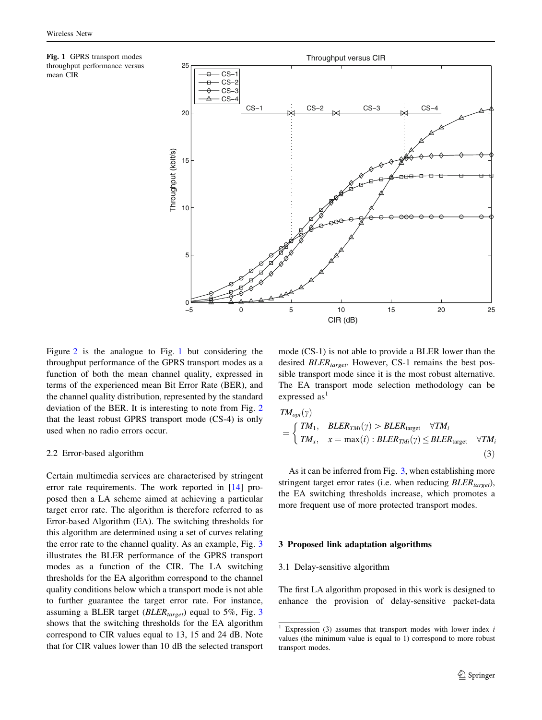<span id="page-2-0"></span>Fig. 1 GPRS transport modes throughput performance versus mean CIR



Figure [2](#page-3-0) is the analogue to Fig. 1 but considering the throughput performance of the GPRS transport modes as a function of both the mean channel quality, expressed in terms of the experienced mean Bit Error Rate (BER), and the channel quality distribution, represented by the standard deviation of the BER. It is interesting to note from Fig. [2](#page-3-0) that the least robust GPRS transport mode (CS-4) is only used when no radio errors occur.

## 2.2 Error-based algorithm

Certain multimedia services are characterised by stringent error rate requirements. The work reported in [\[14](#page-12-0)] proposed then a LA scheme aimed at achieving a particular target error rate. The algorithm is therefore referred to as Error-based Algorithm (EA). The switching thresholds for this algorithm are determined using a set of curves relating the error rate to the channel quality. As an example, Fig. [3](#page-3-0) illustrates the BLER performance of the GPRS transport modes as a function of the CIR. The LA switching thresholds for the EA algorithm correspond to the channel quality conditions below which a transport mode is not able to further guarantee the target error rate. For instance, assuming a BLER target ( $BLER_{target}$ ) equal to 5%, Fig. [3](#page-3-0) shows that the switching thresholds for the EA algorithm correspond to CIR values equal to 13, 15 and 24 dB. Note that for CIR values lower than 10 dB the selected transport mode (CS-1) is not able to provide a BLER lower than the desired  $BLER_{target}$ . However, CS-1 remains the best possible transport mode since it is the most robust alternative. The EA transport mode selection methodology can be expressed as<sup>1</sup>

$$
TM_{opt}(\gamma)
$$
\n
$$
= \begin{cases} TM_1, & BLER_{TMi}(\gamma) > BLER_{target} \quad \forall TM_i \\ TM_x, & x = \max(i) : BLER_{TMi}(\gamma) \leq BLER_{target} \quad \forall TM_i \end{cases} \tag{3}
$$

As it can be inferred from Fig. [3](#page-3-0), when establishing more stringent target error rates (i.e. when reducing  $BLER_{target}$ ), the EA switching thresholds increase, which promotes a more frequent use of more protected transport modes.

## 3 Proposed link adaptation algorithms

## 3.1 Delay-sensitive algorithm

The first LA algorithm proposed in this work is designed to enhance the provision of delay-sensitive packet-data

<sup>&</sup>lt;sup>1</sup> Expression (3) assumes that transport modes with lower index  $i$ values (the minimum value is equal to 1) correspond to more robust transport modes.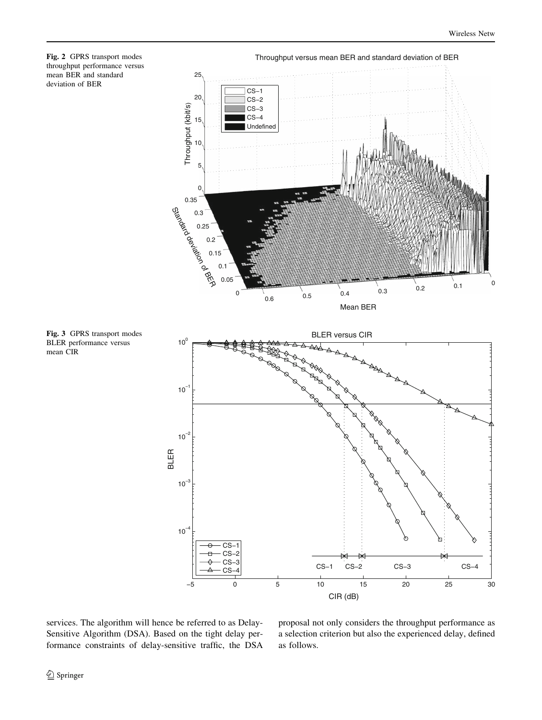<span id="page-3-0"></span>

CIR (dB)

services. The algorithm will hence be referred to as Delay-Sensitive Algorithm (DSA). Based on the tight delay performance constraints of delay-sensitive traffic, the DSA proposal not only considers the throughput performance as a selection criterion but also the experienced delay, defined as follows.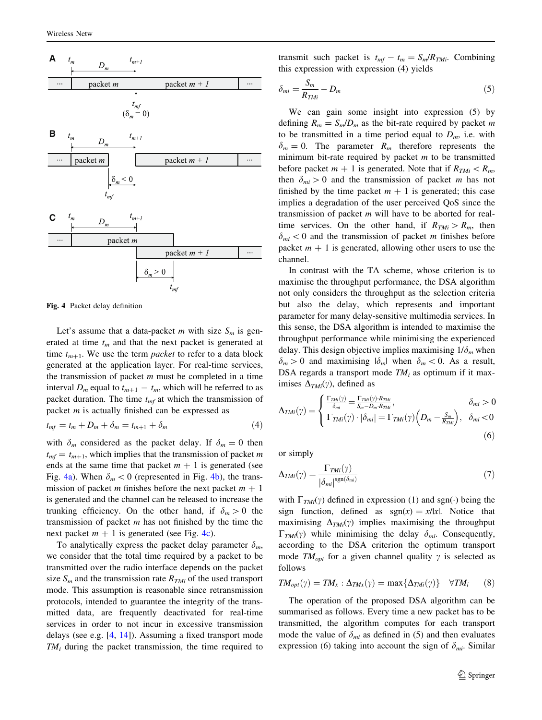

Fig. 4 Packet delay definition

Let's assume that a data-packet m with size  $S_m$  is generated at time  $t_m$  and that the next packet is generated at time  $t_{m+1}$ . We use the term *packet* to refer to a data block generated at the application layer. For real-time services, the transmission of packet  $m$  must be completed in a time interval  $D_m$  equal to  $t_{m+1} - t_m$ , which will be referred to as packet duration. The time  $t_{mf}$  at which the transmission of packet m is actually finished can be expressed as

$$
t_{mf} = t_m + D_m + \delta_m = t_{m+1} + \delta_m \tag{4}
$$

with  $\delta_m$  considered as the packet delay. If  $\delta_m = 0$  then  $t_{mf} = t_{m+1}$ , which implies that the transmission of packet m ends at the same time that packet  $m + 1$  is generated (see Fig. 4a). When  $\delta_m < 0$  (represented in Fig. 4b), the transmission of packet m finishes before the next packet  $m + 1$ is generated and the channel can be released to increase the trunking efficiency. On the other hand, if  $\delta_m > 0$  the transmission of packet  $m$  has not finished by the time the next packet  $m + 1$  is generated (see Fig. 4c).

To analytically express the packet delay parameter  $\delta_m$ , we consider that the total time required by a packet to be transmitted over the radio interface depends on the packet size  $S_m$  and the transmission rate  $R_{TMi}$  of the used transport mode. This assumption is reasonable since retransmission protocols, intended to guarantee the integrity of the transmitted data, are frequently deactivated for real-time services in order to not incur in excessive transmission delays (see e.g. [\[4](#page-12-0), [14\]](#page-12-0)). Assuming a fixed transport mode  $TM_i$  during the packet transmission, the time required to transmit such packet is  $t_{mf} - t_m = S_m/R_{TMi}$ . Combining this expression with expression (4) yields

$$
\delta_{mi} = \frac{S_m}{R_{TMi}} - D_m \tag{5}
$$

We can gain some insight into expression (5) by defining  $R_m = S_m/D_m$  as the bit-rate required by packet m to be transmitted in a time period equal to  $D_m$ , i.e. with  $\delta_m = 0$ . The parameter  $R_m$  therefore represents the minimum bit-rate required by packet  $m$  to be transmitted before packet  $m + 1$  is generated. Note that if  $R_{TM}<sub>m</sub>$ , then  $\delta_{mi} > 0$  and the transmission of packet m has not finished by the time packet  $m + 1$  is generated; this case implies a degradation of the user perceived QoS since the transmission of packet  $m$  will have to be aborted for realtime services. On the other hand, if  $R_{TMi} > R_m$ , then  $\delta_{mi}<0$  and the transmission of packet m finishes before packet  $m + 1$  is generated, allowing other users to use the channel.

In contrast with the TA scheme, whose criterion is to maximise the throughput performance, the DSA algorithm not only considers the throughput as the selection criteria but also the delay, which represents and important parameter for many delay-sensitive multimedia services. In this sense, the DSA algorithm is intended to maximise the throughput performance while minimising the experienced delay. This design objective implies maximising  $1/\delta_m$  when  $\delta_m > 0$  and maximising  $|\delta_m|$  when  $\delta_m < 0$ . As a result, DSA regards a transport mode  $TM_i$  as optimum if it maximises  $\Delta_{TMi}(\gamma)$ , defined as

$$
\Delta_{TMi}(\gamma) = \begin{cases}\n\frac{\Gamma_{TMi}(\gamma)}{\delta_{mi}} = \frac{\Gamma_{TMi}(\gamma) \cdot R_{TMi}}{S_m - D_m \cdot R_{TMi}}, & \delta_{mi} > 0 \\
\Gamma_{TMi}(\gamma) \cdot |\delta_{mi}| = \Gamma_{TMi}(\gamma) \left(D_m - \frac{S_m}{R_{TMi}}\right), & \delta_{mi} < 0\n\end{cases}
$$
\n(6)

or simply

$$
\Delta_{TMi}(\gamma) = \frac{\Gamma_{TMi}(\gamma)}{|\delta_{mi}|^{\operatorname{sgn}(\delta_{mi})}}
$$
(7)

with  $\Gamma_{TMi}(\gamma)$  defined in expression (1) and sgn( $\cdot$ ) being the sign function, defined as  $sgn(x) = x/|x|$ . Notice that maximising  $\Delta_{TM}(\gamma)$  implies maximising the throughput  $\Gamma_{TMi}(\gamma)$  while minimising the delay  $\delta_{mi}$ . Consequently, according to the DSA criterion the optimum transport mode  $TM_{opt}$  for a given channel quality  $\gamma$  is selected as follows

$$
TM_{opt}(\gamma) = TM_x : \Delta_{TMx}(\gamma) = \max\{\Delta_{TMi}(\gamma)\} \quad \forall TM_i \qquad (8)
$$

The operation of the proposed DSA algorithm can be summarised as follows. Every time a new packet has to be transmitted, the algorithm computes for each transport mode the value of  $\delta_{mi}$  as defined in (5) and then evaluates expression (6) taking into account the sign of  $\delta_{mi}$ . Similar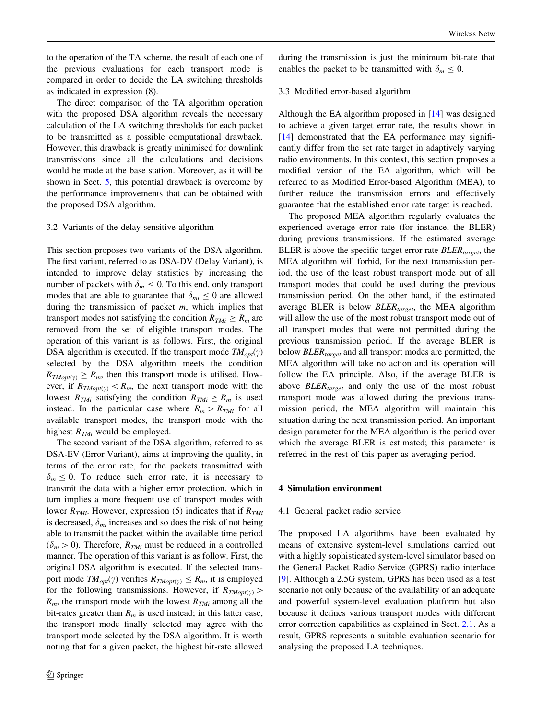Wireless Netw

<span id="page-5-0"></span>to the operation of the TA scheme, the result of each one of the previous evaluations for each transport mode is compared in order to decide the LA switching thresholds as indicated in expression (8).

The direct comparison of the TA algorithm operation with the proposed DSA algorithm reveals the necessary calculation of the LA switching thresholds for each packet to be transmitted as a possible computational drawback. However, this drawback is greatly minimised for downlink transmissions since all the calculations and decisions would be made at the base station. Moreover, as it will be shown in Sect. [5](#page-7-0), this potential drawback is overcome by the performance improvements that can be obtained with the proposed DSA algorithm.

# 3.2 Variants of the delay-sensitive algorithm

This section proposes two variants of the DSA algorithm. The first variant, referred to as DSA-DV (Delay Variant), is intended to improve delay statistics by increasing the number of packets with  $\delta_m \leq 0$ . To this end, only transport modes that are able to guarantee that  $\delta_{mi} \leq 0$  are allowed during the transmission of packet  $m$ , which implies that transport modes not satisfying the condition  $R_{TM} > R_m$  are removed from the set of eligible transport modes. The operation of this variant is as follows. First, the original DSA algorithm is executed. If the transport mode  $TM_{opt}(\gamma)$ selected by the DSA algorithm meets the condition  $R_{T M opt(\gamma)} \ge R_m$ , then this transport mode is utilised. However, if  $R_{TMopt(\gamma)} < R_m$ , the next transport mode with the lowest  $R_{TMi}$  satisfying the condition  $R_{TMi} \ge R_m$  is used instead. In the particular case where  $R_m > R_{TMi}$  for all available transport modes, the transport mode with the highest  $R_{TMi}$  would be employed.

The second variant of the DSA algorithm, referred to as DSA-EV (Error Variant), aims at improving the quality, in terms of the error rate, for the packets transmitted with  $\delta_m \leq 0$ . To reduce such error rate, it is necessary to transmit the data with a higher error protection, which in turn implies a more frequent use of transport modes with lower  $R_{TMi}$ . However, expression (5) indicates that if  $R_{TMi}$ is decreased,  $\delta_{mi}$  increases and so does the risk of not being able to transmit the packet within the available time period  $(\delta_m > 0)$ . Therefore,  $R_{TMi}$  must be reduced in a controlled manner. The operation of this variant is as follow. First, the original DSA algorithm is executed. If the selected transport mode  $TM_{opt}(\gamma)$  verifies  $R_{TMopt(\gamma)} \leq R_m$ , it is employed for the following transmissions. However, if  $R_{T M opt(\gamma)}$  >  $R_m$ , the transport mode with the lowest  $R_{TMi}$  among all the bit-rates greater than  $R_m$  is used instead; in this latter case, the transport mode finally selected may agree with the transport mode selected by the DSA algorithm. It is worth noting that for a given packet, the highest bit-rate allowed during the transmission is just the minimum bit-rate that enables the packet to be transmitted with  $\delta_m \leq 0$ .

#### 3.3 Modified error-based algorithm

Although the EA algorithm proposed in [[14\]](#page-12-0) was designed to achieve a given target error rate, the results shown in  $[14]$  $[14]$  demonstrated that the EA performance may significantly differ from the set rate target in adaptively varying radio environments. In this context, this section proposes a modified version of the EA algorithm, which will be referred to as Modified Error-based Algorithm (MEA), to further reduce the transmission errors and effectively guarantee that the established error rate target is reached.

The proposed MEA algorithm regularly evaluates the experienced average error rate (for instance, the BLER) during previous transmissions. If the estimated average BLER is above the specific target error rate  $BLER_{target}$ , the MEA algorithm will forbid, for the next transmission period, the use of the least robust transport mode out of all transport modes that could be used during the previous transmission period. On the other hand, if the estimated average BLER is below  $BLER_{target}$ , the MEA algorithm will allow the use of the most robust transport mode out of all transport modes that were not permitted during the previous transmission period. If the average BLER is below  $BLER_{target}$  and all transport modes are permitted, the MEA algorithm will take no action and its operation will follow the EA principle. Also, if the average BLER is above  $BLER_{target}$  and only the use of the most robust transport mode was allowed during the previous transmission period, the MEA algorithm will maintain this situation during the next transmission period. An important design parameter for the MEA algorithm is the period over which the average BLER is estimated; this parameter is referred in the rest of this paper as averaging period.

#### 4 Simulation environment

#### 4.1 General packet radio service

The proposed LA algorithms have been evaluated by means of extensive system-level simulations carried out with a highly sophisticated system-level simulator based on the General Packet Radio Service (GPRS) radio interface [\[9](#page-12-0)]. Although a 2.5G system, GPRS has been used as a test scenario not only because of the availability of an adequate and powerful system-level evaluation platform but also because it defines various transport modes with different error correction capabilities as explained in Sect. [2.1](#page-1-0). As a result, GPRS represents a suitable evaluation scenario for analysing the proposed LA techniques.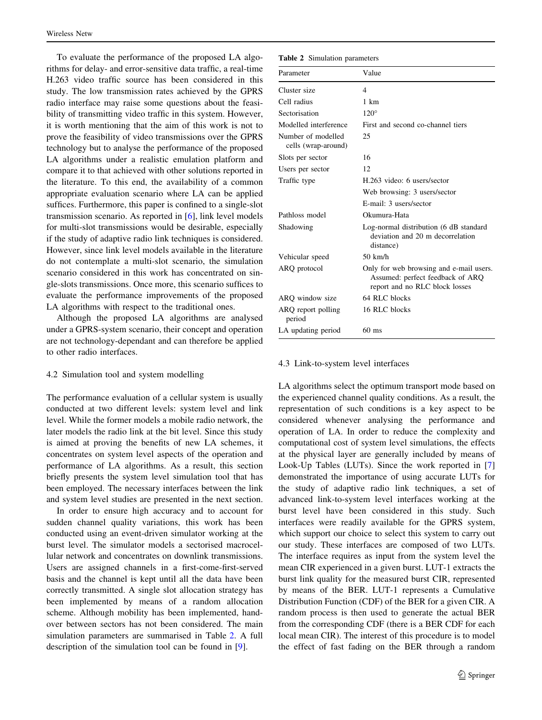To evaluate the performance of the proposed LA algorithms for delay- and error-sensitive data traffic, a real-time H.263 video traffic source has been considered in this study. The low transmission rates achieved by the GPRS radio interface may raise some questions about the feasibility of transmitting video traffic in this system. However, it is worth mentioning that the aim of this work is not to prove the feasibility of video transmissions over the GPRS technology but to analyse the performance of the proposed LA algorithms under a realistic emulation platform and compare it to that achieved with other solutions reported in the literature. To this end, the availability of a common appropriate evaluation scenario where LA can be applied suffices. Furthermore, this paper is confined to a single-slot transmission scenario. As reported in [\[6](#page-12-0)], link level models for multi-slot transmissions would be desirable, especially if the study of adaptive radio link techniques is considered. However, since link level models available in the literature do not contemplate a multi-slot scenario, the simulation scenario considered in this work has concentrated on single-slots transmissions. Once more, this scenario suffices to evaluate the performance improvements of the proposed LA algorithms with respect to the traditional ones.

Although the proposed LA algorithms are analysed under a GPRS-system scenario, their concept and operation are not technology-dependant and can therefore be applied to other radio interfaces.

#### 4.2 Simulation tool and system modelling

The performance evaluation of a cellular system is usually conducted at two different levels: system level and link level. While the former models a mobile radio network, the later models the radio link at the bit level. Since this study is aimed at proving the benefits of new LA schemes, it concentrates on system level aspects of the operation and performance of LA algorithms. As a result, this section briefly presents the system level simulation tool that has been employed. The necessary interfaces between the link and system level studies are presented in the next section.

In order to ensure high accuracy and to account for sudden channel quality variations, this work has been conducted using an event-driven simulator working at the burst level. The simulator models a sectorised macrocellular network and concentrates on downlink transmissions. Users are assigned channels in a first-come-first-served basis and the channel is kept until all the data have been correctly transmitted. A single slot allocation strategy has been implemented by means of a random allocation scheme. Although mobility has been implemented, handover between sectors has not been considered. The main simulation parameters are summarised in Table 2. A full description of the simulation tool can be found in [[9\]](#page-12-0).

Table 2 Simulation parameters

| Parameter                                 | Value                                                                                                         |
|-------------------------------------------|---------------------------------------------------------------------------------------------------------------|
| Cluster size                              | 4                                                                                                             |
| Cell radius                               | $1 \text{ km}$                                                                                                |
| Sectorisation                             | $120^\circ$                                                                                                   |
| Modelled interference                     | First and second co-channel tiers                                                                             |
| Number of modelled<br>cells (wrap-around) | 25                                                                                                            |
| Slots per sector                          | 16                                                                                                            |
| Users per sector                          | 12                                                                                                            |
| Traffic type                              | H.263 video: 6 users/sector                                                                                   |
|                                           | Web browsing: 3 users/sector                                                                                  |
|                                           | E-mail: 3 users/sector                                                                                        |
| Pathloss model                            | Okumura-Hata                                                                                                  |
| Shadowing                                 | Log-normal distribution (6 dB standard<br>deviation and 20 m decorrelation<br>distance)                       |
| Vehicular speed                           | $50 \text{ km/h}$                                                                                             |
| ARQ protocol                              | Only for web browsing and e-mail users.<br>Assumed: perfect feedback of ARQ<br>report and no RLC block losses |
| ARQ window size                           | 64 RLC blocks                                                                                                 |
| ARQ report polling<br>period              | 16 RLC blocks                                                                                                 |
| LA updating period                        | $60$ ms                                                                                                       |

#### 4.3 Link-to-system level interfaces

LA algorithms select the optimum transport mode based on the experienced channel quality conditions. As a result, the representation of such conditions is a key aspect to be considered whenever analysing the performance and operation of LA. In order to reduce the complexity and computational cost of system level simulations, the effects at the physical layer are generally included by means of Look-Up Tables (LUTs). Since the work reported in [[7\]](#page-12-0) demonstrated the importance of using accurate LUTs for the study of adaptive radio link techniques, a set of advanced link-to-system level interfaces working at the burst level have been considered in this study. Such interfaces were readily available for the GPRS system, which support our choice to select this system to carry out our study. These interfaces are composed of two LUTs. The interface requires as input from the system level the mean CIR experienced in a given burst. LUT-1 extracts the burst link quality for the measured burst CIR, represented by means of the BER. LUT-1 represents a Cumulative Distribution Function (CDF) of the BER for a given CIR. A random process is then used to generate the actual BER from the corresponding CDF (there is a BER CDF for each local mean CIR). The interest of this procedure is to model the effect of fast fading on the BER through a random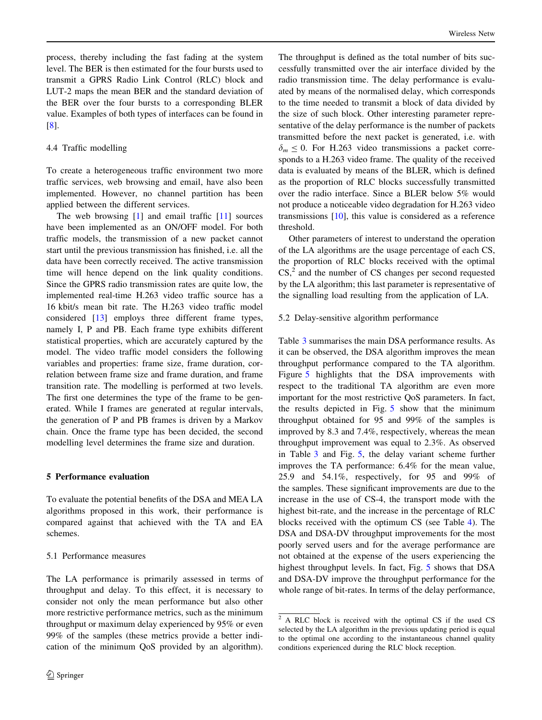<span id="page-7-0"></span>process, thereby including the fast fading at the system level. The BER is then estimated for the four bursts used to transmit a GPRS Radio Link Control (RLC) block and LUT-2 maps the mean BER and the standard deviation of the BER over the four bursts to a corresponding BLER value. Examples of both types of interfaces can be found in [\[8](#page-12-0)].

# 4.4 Traffic modelling

To create a heterogeneous traffic environment two more traffic services, web browsing and email, have also been implemented. However, no channel partition has been applied between the different services.

The web browsing  $[1]$  $[1]$  and email traffic  $[11]$  $[11]$  sources have been implemented as an ON/OFF model. For both traffic models, the transmission of a new packet cannot start until the previous transmission has finished, i.e. all the data have been correctly received. The active transmission time will hence depend on the link quality conditions. Since the GPRS radio transmission rates are quite low, the implemented real-time H.263 video traffic source has a 16 kbit/s mean bit rate. The H.263 video traffic model considered [[13\]](#page-12-0) employs three different frame types, namely I, P and PB. Each frame type exhibits different statistical properties, which are accurately captured by the model. The video traffic model considers the following variables and properties: frame size, frame duration, correlation between frame size and frame duration, and frame transition rate. The modelling is performed at two levels. The first one determines the type of the frame to be generated. While I frames are generated at regular intervals, the generation of P and PB frames is driven by a Markov chain. Once the frame type has been decided, the second modelling level determines the frame size and duration.

## 5 Performance evaluation

To evaluate the potential benefits of the DSA and MEA LA algorithms proposed in this work, their performance is compared against that achieved with the TA and EA schemes.

## 5.1 Performance measures

The LA performance is primarily assessed in terms of throughput and delay. To this effect, it is necessary to consider not only the mean performance but also other more restrictive performance metrics, such as the minimum throughput or maximum delay experienced by 95% or even 99% of the samples (these metrics provide a better indication of the minimum QoS provided by an algorithm).

The throughput is defined as the total number of bits successfully transmitted over the air interface divided by the radio transmission time. The delay performance is evaluated by means of the normalised delay, which corresponds to the time needed to transmit a block of data divided by the size of such block. Other interesting parameter representative of the delay performance is the number of packets transmitted before the next packet is generated, i.e. with  $\delta_m \leq 0$ . For H.263 video transmissions a packet corresponds to a H.263 video frame. The quality of the received data is evaluated by means of the BLER, which is defined as the proportion of RLC blocks successfully transmitted over the radio interface. Since a BLER below 5% would not produce a noticeable video degradation for H.263 video transmissions [\[10](#page-12-0)], this value is considered as a reference threshold.

Other parameters of interest to understand the operation of the LA algorithms are the usage percentage of each CS, the proportion of RLC blocks received with the optimal  $\text{CS},^2$  and the number of CS changes per second requested by the LA algorithm; this last parameter is representative of the signalling load resulting from the application of LA.

# 5.2 Delay-sensitive algorithm performance

Table [3](#page-8-0) summarises the main DSA performance results. As it can be observed, the DSA algorithm improves the mean throughput performance compared to the TA algorithm. Figure [5](#page-8-0) highlights that the DSA improvements with respect to the traditional TA algorithm are even more important for the most restrictive QoS parameters. In fact, the results depicted in Fig. [5](#page-8-0) show that the minimum throughput obtained for 95 and 99% of the samples is improved by 8.3 and 7.4%, respectively, whereas the mean throughput improvement was equal to 2.3%. As observed in Table [3](#page-8-0) and Fig. [5](#page-8-0), the delay variant scheme further improves the TA performance: 6.4% for the mean value, 25.9 and 54.1%, respectively, for 95 and 99% of the samples. These significant improvements are due to the increase in the use of CS-4, the transport mode with the highest bit-rate, and the increase in the percentage of RLC blocks received with the optimum CS (see Table [4\)](#page-8-0). The DSA and DSA-DV throughput improvements for the most poorly served users and for the average performance are not obtained at the expense of the users experiencing the highest throughput levels. In fact, Fig. [5](#page-8-0) shows that DSA and DSA-DV improve the throughput performance for the whole range of bit-rates. In terms of the delay performance,

 $\sqrt{2 A}$  RLC block is received with the optimal CS if the used CS selected by the LA algorithm in the previous updating period is equal to the optimal one according to the instantaneous channel quality conditions experienced during the RLC block reception.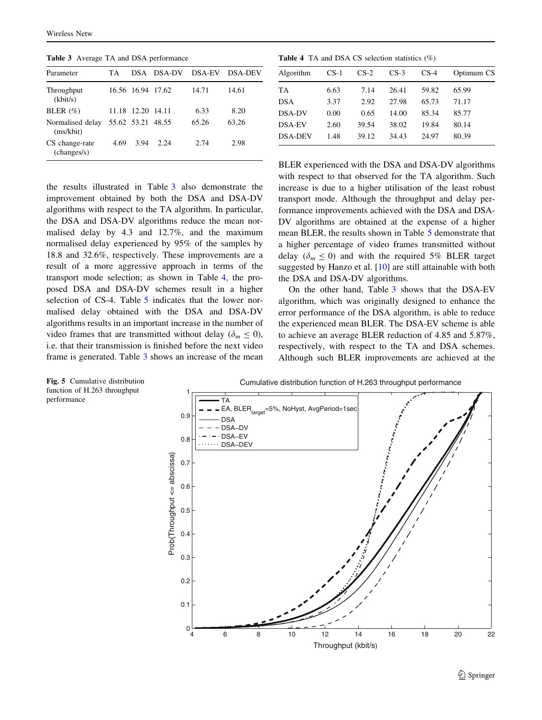<span id="page-8-0"></span>Table 3 Average TA and DSA performance

| Parameter                     | TА   | DS A              | DSA-DV | <b>DSA-EV</b> | <b>DSA-DEV</b> |
|-------------------------------|------|-------------------|--------|---------------|----------------|
| Throughput<br>(kbit/s)        |      | 16.56 16.94 17.62 |        | 14.71         | 14.61          |
| BLER $(\% )$                  |      | 11.18 12.20 14.11 |        | 6.33          | 8.20           |
| Normalised delay<br>(ms/kbit) |      | 55.62 53.21 48.55 |        | 65.26         | 63.26          |
| CS change-rate<br>(changes/s) | 4.69 | 3.94              | 2.24   | 2.74          | 2.98           |

Table 4 TA and DSA CS selection statistics (%)

| Algorithm      | $CS-1$ | $CS-2$ | $CS-3$ | $CS-4$ | Optimum CS |
|----------------|--------|--------|--------|--------|------------|
| TA             | 6.63   | 7.14   | 26.41  | 59.82  | 65.99      |
| DSA            | 3.37   | 2.92   | 27.98  | 65.73  | 71.17      |
| DSA-DV         | 0.00   | 0.65   | 14.00  | 85.34  | 85.77      |
| <b>DSA-EV</b>  | 2.60   | 39.54  | 38.02  | 19.84  | 80.14      |
| <b>DSA-DEV</b> | 1.48   | 39.12  | 34.43  | 24.97  | 80.39      |
|                |        |        |        |        |            |

the results illustrated in Table 3 also demonstrate the improvement obtained by both the DSA and DSA-DV algorithms with respect to the TA algorithm. In particular, the DSA and DSA-DV algorithms reduce the mean normalised delay by 4.3 and 12.7%, and the maximum normalised delay experienced by 95% of the samples by 18.8 and 32.6%, respectively. These improvements are a result of a more aggressive approach in terms of the transport mode selection; as shown in Table 4, the proposed DSA and DSA-DV schemes result in a higher selection of CS-4. Table [5](#page-9-0) indicates that the lower normalised delay obtained with the DSA and DSA-DV algorithms results in an important increase in the number of video frames that are transmitted without delay ( $\delta_m \le 0$ ), i.e. that their transmission is finished before the next video frame is generated. Table 3 shows an increase of the mean

Fig. 5 Cumulative distribution function of H.263 throughput performance

BLER experienced with the DSA and DSA-DV algorithms with respect to that observed for the TA algorithm. Such increase is due to a higher utilisation of the least robust transport mode. Although the throughput and delay performance improvements achieved with the DSA and DSA-DV algorithms are obtained at the expense of a higher mean BLER, the results shown in Table [5](#page-9-0) demonstrate that a higher percentage of video frames transmitted without delay ( $\delta_m \le 0$ ) and with the required 5% BLER target suggested by Hanzo et al. [[10](#page-12-0)] are still attainable with both the DSA and DSA-DV algorithms.

On the other hand, Table 3 shows that the DSA-EV algorithm, which was originally designed to enhance the error performance of the DSA algorithm, is able to reduce the experienced mean BLER. The DSA-EV scheme is able to achieve an average BLER reduction of 4.85 and 5.87%, respectively, with respect to the TA and DSA schemes. Although such BLER improvements are achieved at the

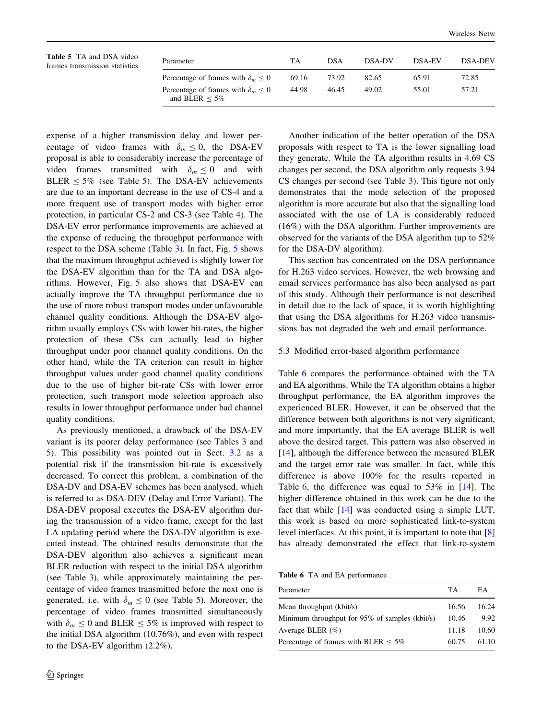<span id="page-9-0"></span>Table 5 TA and DSA video frames transmission statistics

| Parameter                                                          | TА    | DS A  | <b>DSA-DV</b> | DSA-EV | <b>DSA-DEV</b> |
|--------------------------------------------------------------------|-------|-------|---------------|--------|----------------|
| Percentage of frames with $\delta_m < 0$                           | 69.16 | 73.92 | 82.65         | 65.91  | 72.85          |
| Percentage of frames with $\delta_m \leq 0$<br>and BLER $\leq 5\%$ | 44.98 | 46.45 | 49.02         | 55.01  | 57.21          |

expense of a higher transmission delay and lower percentage of video frames with  $\delta_m \leq 0$ , the DSA-EV proposal is able to considerably increase the percentage of video frames transmitted with  $\delta_m < 0$  and with BLER  $\leq 5\%$  (see Table 5). The DSA-EV achievements are due to an important decrease in the use of CS-4 and a more frequent use of transport modes with higher error protection, in particular CS-2 and CS-3 (see Table [4\)](#page-8-0). The DSA-EV error performance improvements are achieved at the expense of reducing the throughput performance with respect to the DSA scheme (Table [3\)](#page-8-0). In fact, Fig. [5](#page-8-0) shows that the maximum throughput achieved is slightly lower for the DSA-EV algorithm than for the TA and DSA algorithms. However, Fig. [5](#page-8-0) also shows that DSA-EV can actually improve the TA throughput performance due to the use of more robust transport modes under unfavourable channel quality conditions. Although the DSA-EV algorithm usually employs CSs with lower bit-rates, the higher protection of these CSs can actually lead to higher throughput under poor channel quality conditions. On the other hand, while the TA criterion can result in higher throughput values under good channel quality conditions due to the use of higher bit-rate CSs with lower error protection, such transport mode selection approach also results in lower throughput performance under bad channel quality conditions.

As previously mentioned, a drawback of the DSA-EV variant is its poorer delay performance (see Tables [3](#page-8-0) and 5). This possibility was pointed out in Sect. [3.2](#page-5-0) as a potential risk if the transmission bit-rate is excessively decreased. To correct this problem, a combination of the DSA-DV and DSA-EV schemes has been analysed, which is referred to as DSA-DEV (Delay and Error Variant). The DSA-DEV proposal executes the DSA-EV algorithm during the transmission of a video frame, except for the last LA updating period where the DSA-DV algorithm is executed instead. The obtained results demonstrate that the DSA-DEV algorithm also achieves a significant mean BLER reduction with respect to the initial DSA algorithm (see Table [3](#page-8-0)), while approximately maintaining the percentage of video frames transmitted before the next one is generated, i.e. with  $\delta_m \leq 0$  (see Table 5). Moreover, the percentage of video frames transmitted simultaneously with  $\delta_m \le 0$  and BLER  $\le 5\%$  is improved with respect to the initial DSA algorithm (10.76%), and even with respect to the DSA-EV algorithm (2.2%).

Another indication of the better operation of the DSA proposals with respect to TA is the lower signalling load they generate. While the TA algorithm results in 4.69 CS changes per second, the DSA algorithm only requests 3.94 CS changes per second (see Table [3](#page-8-0)). This figure not only demonstrates that the mode selection of the proposed algorithm is more accurate but also that the signalling load associated with the use of LA is considerably reduced (16%) with the DSA algorithm. Further improvements are observed for the variants of the DSA algorithm (up to 52% for the DSA-DV algorithm).

This section has concentrated on the DSA performance for H.263 video services. However, the web browsing and email services performance has also been analysed as part of this study. Although their performance is not described in detail due to the lack of space, it is worth highlighting that using the DSA algorithms for H.263 video transmissions has not degraded the web and email performance.

#### 5.3 Modified error-based algorithm performance

Table 6 compares the performance obtained with the TA and EA algorithms. While the TA algorithm obtains a higher throughput performance, the EA algorithm improves the experienced BLER. However, it can be observed that the difference between both algorithms is not very significant, and more importantly, that the EA average BLER is well above the desired target. This pattern was also observed in [\[14](#page-12-0)], although the difference between the measured BLER and the target error rate was smaller. In fact, while this difference is above 100% for the results reported in Table 6, the difference was equal to 53% in [[14\]](#page-12-0). The higher difference obtained in this work can be due to the fact that while [\[14](#page-12-0)] was conducted using a simple LUT, this work is based on more sophisticated link-to-system level interfaces. At this point, it is important to note that [[8\]](#page-12-0) has already demonstrated the effect that link-to-system

Table 6 TA and EA performance

| Parameter                                      | TA.   | EА    |
|------------------------------------------------|-------|-------|
| Mean throughput (kbit/s)                       | 16.56 | 16.24 |
| Minimum throughput for 95% of samples (kbit/s) | 10.46 | 9.92  |
| Average BLER $(\% )$                           | 11.18 | 10.60 |
| Percentage of frames with BLER $\leq 5\%$      | 60.75 | 61.10 |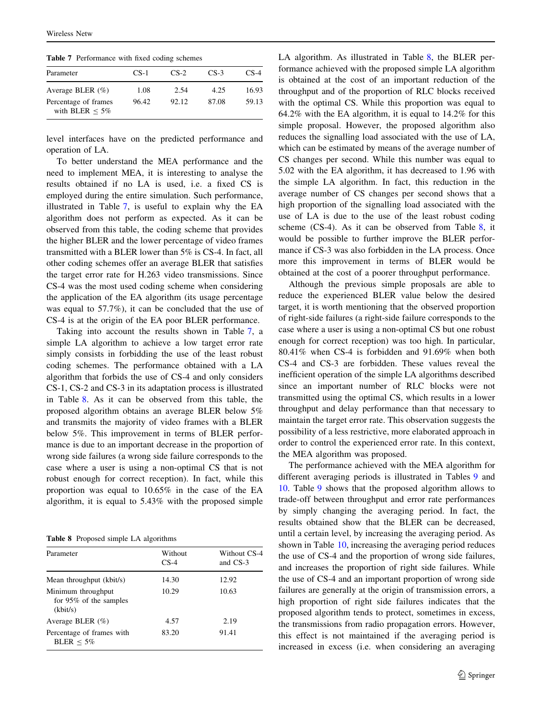Table 7 Performance with fixed coding schemes

| Parameter                                    | $CS-1$        | $CS-2$        | $CS-3$        | $CS-4$         |
|----------------------------------------------|---------------|---------------|---------------|----------------|
| Average BLER $(\% )$<br>Percentage of frames | 1.08<br>96.42 | 2.54<br>92.12 | 4.25<br>87.08 | 16.93<br>59.13 |
| with BLER $\leq 5\%$                         |               |               |               |                |

level interfaces have on the predicted performance and operation of LA.

To better understand the MEA performance and the need to implement MEA, it is interesting to analyse the results obtained if no LA is used, i.e. a fixed CS is employed during the entire simulation. Such performance, illustrated in Table 7, is useful to explain why the EA algorithm does not perform as expected. As it can be observed from this table, the coding scheme that provides the higher BLER and the lower percentage of video frames transmitted with a BLER lower than 5% is CS-4. In fact, all other coding schemes offer an average BLER that satisfies the target error rate for H.263 video transmissions. Since CS-4 was the most used coding scheme when considering the application of the EA algorithm (its usage percentage was equal to 57.7%), it can be concluded that the use of CS-4 is at the origin of the EA poor BLER performance.

Taking into account the results shown in Table 7, a simple LA algorithm to achieve a low target error rate simply consists in forbidding the use of the least robust coding schemes. The performance obtained with a LA algorithm that forbids the use of CS-4 and only considers CS-1, CS-2 and CS-3 in its adaptation process is illustrated in Table 8. As it can be observed from this table, the proposed algorithm obtains an average BLER below 5% and transmits the majority of video frames with a BLER below 5%. This improvement in terms of BLER performance is due to an important decrease in the proportion of wrong side failures (a wrong side failure corresponds to the case where a user is using a non-optimal CS that is not robust enough for correct reception). In fact, while this proportion was equal to 10.65% in the case of the EA algorithm, it is equal to 5.43% with the proposed simple

Table 8 Proposed simple LA algorithms

| Parameter                                                | Without<br>$CS-4$ | Without CS-4<br>and CS-3 |
|----------------------------------------------------------|-------------------|--------------------------|
| Mean throughput (kbit/s)                                 | 14.30             | 12.92                    |
| Minimum throughput<br>for 95% of the samples<br>(kbit/s) | 10.29             | 10.63                    |
| Average BLER $(\%)$                                      | 4.57              | 2.19                     |
| Percentage of frames with<br>$BLER < 5\%$                | 83.20             | 91.41                    |

LA algorithm. As illustrated in Table 8, the BLER performance achieved with the proposed simple LA algorithm is obtained at the cost of an important reduction of the throughput and of the proportion of RLC blocks received with the optimal CS. While this proportion was equal to 64.2% with the EA algorithm, it is equal to 14.2% for this simple proposal. However, the proposed algorithm also reduces the signalling load associated with the use of LA, which can be estimated by means of the average number of CS changes per second. While this number was equal to 5.02 with the EA algorithm, it has decreased to 1.96 with the simple LA algorithm. In fact, this reduction in the average number of CS changes per second shows that a high proportion of the signalling load associated with the use of LA is due to the use of the least robust coding scheme (CS-4). As it can be observed from Table 8, it would be possible to further improve the BLER performance if CS-3 was also forbidden in the LA process. Once more this improvement in terms of BLER would be obtained at the cost of a poorer throughput performance.

Although the previous simple proposals are able to reduce the experienced BLER value below the desired target, it is worth mentioning that the observed proportion of right-side failures (a right-side failure corresponds to the case where a user is using a non-optimal CS but one robust enough for correct reception) was too high. In particular, 80.41% when CS-4 is forbidden and 91.69% when both CS-4 and CS-3 are forbidden. These values reveal the inefficient operation of the simple LA algorithms described since an important number of RLC blocks were not transmitted using the optimal CS, which results in a lower throughput and delay performance than that necessary to maintain the target error rate. This observation suggests the possibility of a less restrictive, more elaborated approach in order to control the experienced error rate. In this context, the MEA algorithm was proposed.

The performance achieved with the MEA algorithm for different averaging periods is illustrated in Tables [9](#page-11-0) and [10](#page-11-0). Table [9](#page-11-0) shows that the proposed algorithm allows to trade-off between throughput and error rate performances by simply changing the averaging period. In fact, the results obtained show that the BLER can be decreased, until a certain level, by increasing the averaging period. As shown in Table [10,](#page-11-0) increasing the averaging period reduces the use of CS-4 and the proportion of wrong side failures, and increases the proportion of right side failures. While the use of CS-4 and an important proportion of wrong side failures are generally at the origin of transmission errors, a high proportion of right side failures indicates that the proposed algorithm tends to protect, sometimes in excess, the transmissions from radio propagation errors. However, this effect is not maintained if the averaging period is increased in excess (i.e. when considering an averaging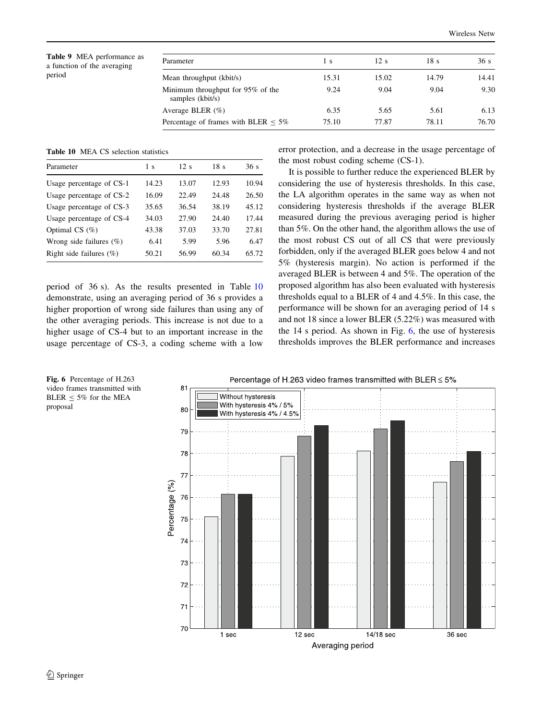<span id="page-11-0"></span>

| Table 9 MEA performance as  |
|-----------------------------|
| a function of the averaging |
| period                      |

| Parameter                                             | 1 s   | 12 s  | 18 <sub>s</sub> | 36s   |
|-------------------------------------------------------|-------|-------|-----------------|-------|
| Mean throughput (kbit/s)                              | 15.31 | 15.02 | 14.79           | 14.41 |
| Minimum throughput for 95% of the<br>samples (kbit/s) | 9.24  | 9.04  | 9.04            | 9.30  |
| Average BLER $(\% )$                                  | 6.35  | 5.65  | 5.61            | 6.13  |
| Percentage of frames with BLER $\leq 5\%$             | 75.10 | 77.87 | 78.11           | 76.70 |

Table 10 MEA CS selection statistics

| Parameter                  | 1 s   | 12s   | 18 <sub>s</sub> | 36s   |
|----------------------------|-------|-------|-----------------|-------|
| Usage percentage of CS-1   | 14.23 | 13.07 | 12.93           | 10.94 |
| Usage percentage of CS-2   | 16.09 | 22.49 | 24.48           | 26.50 |
| Usage percentage of CS-3   | 35.65 | 36.54 | 38.19           | 45.12 |
| Usage percentage of CS-4   | 34.03 | 27.90 | 24.40           | 17.44 |
| Optimal CS $(\%)$          | 43.38 | 37.03 | 33.70           | 27.81 |
| Wrong side failures $(\%)$ | 6.41  | 5.99  | 5.96            | 6.47  |
| Right side failures $(\%)$ | 50.21 | 56.99 | 60.34           | 65.72 |

period of 36 s). As the results presented in Table 10 demonstrate, using an averaging period of 36 s provides a higher proportion of wrong side failures than using any of the other averaging periods. This increase is not due to a higher usage of CS-4 but to an important increase in the usage percentage of CS-3, a coding scheme with a low

error protection, and a decrease in the usage percentage of the most robust coding scheme (CS-1).

It is possible to further reduce the experienced BLER by considering the use of hysteresis thresholds. In this case, the LA algorithm operates in the same way as when not considering hysteresis thresholds if the average BLER measured during the previous averaging period is higher than 5%. On the other hand, the algorithm allows the use of the most robust CS out of all CS that were previously forbidden, only if the averaged BLER goes below 4 and not 5% (hysteresis margin). No action is performed if the averaged BLER is between 4 and 5%. The operation of the proposed algorithm has also been evaluated with hysteresis thresholds equal to a BLER of 4 and 4.5%. In this case, the performance will be shown for an averaging period of 14 s and not 18 since a lower BLER (5.22%) was measured with the 14 s period. As shown in Fig. 6, the use of hysteresis thresholds improves the BLER performance and increases



Fig. 6 Percentage of H.263 video frames transmitted with BLER  $\leq$  5% for the MEA proposal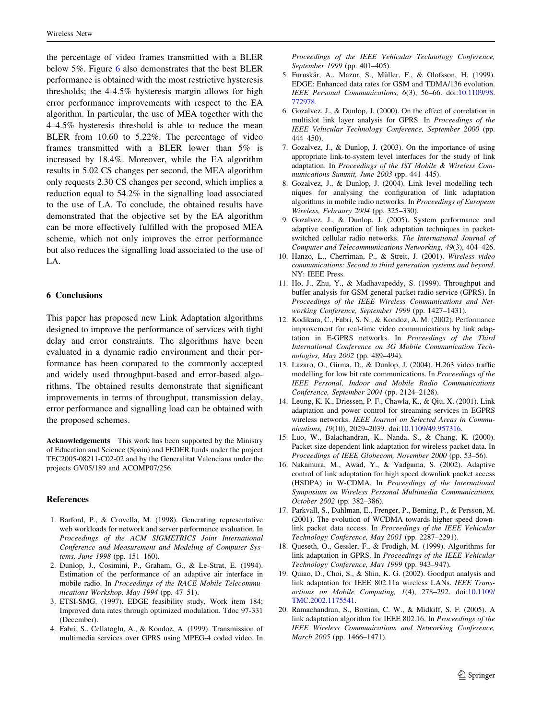<span id="page-12-0"></span>the percentage of video frames transmitted with a BLER below 5%. Figure [6](#page-11-0) also demonstrates that the best BLER performance is obtained with the most restrictive hysteresis thresholds; the 4-4.5% hysteresis margin allows for high error performance improvements with respect to the EA algorithm. In particular, the use of MEA together with the 4–4.5% hysteresis threshold is able to reduce the mean BLER from 10.60 to 5.22%. The percentage of video frames transmitted with a BLER lower than 5% is increased by 18.4%. Moreover, while the EA algorithm results in 5.02 CS changes per second, the MEA algorithm only requests 2.30 CS changes per second, which implies a reduction equal to 54.2% in the signalling load associated to the use of LA. To conclude, the obtained results have demonstrated that the objective set by the EA algorithm can be more effectively fulfilled with the proposed MEA scheme, which not only improves the error performance but also reduces the signalling load associated to the use of LA.

## 6 Conclusions

This paper has proposed new Link Adaptation algorithms designed to improve the performance of services with tight delay and error constraints. The algorithms have been evaluated in a dynamic radio environment and their performance has been compared to the commonly accepted and widely used throughput-based and error-based algorithms. The obtained results demonstrate that significant improvements in terms of throughput, transmission delay, error performance and signalling load can be obtained with the proposed schemes.

Acknowledgements This work has been supported by the Ministry of Education and Science (Spain) and FEDER funds under the project TEC2005-08211-C02-02 and by the Generalitat Valenciana under the projects GV05/189 and ACOMP07/256.

#### References

- 1. Barford, P., & Crovella, M. (1998). Generating representative web workloads for network and server performance evaluation. In Proceedings of the ACM SIGMETRICS Joint International Conference and Measurement and Modeling of Computer Systems, June 1998 (pp. 151–160).
- 2. Dunlop, J., Cosimini, P., Graham, G., & Le-Strat, E. (1994). Estimation of the performance of an adaptive air interface in mobile radio. In Proceedings of the RACE Mobile Telecommunications Workshop, May 1994 (pp. 47–51).
- 3. ETSI-SMG. (1997). EDGE feasibility study, Work item 184; Improved data rates through optimized modulation. Tdoc 97-331 (December).
- 4. Fabri, S., Cellatoglu, A., & Kondoz, A. (1999). Transmission of multimedia services over GPRS using MPEG-4 coded video. In

Proceedings of the IEEE Vehicular Technology Conference, September 1999 (pp. 401–405).

- 5. Furuskär, A., Mazur, S., Müller, F., & Olofsson, H. (1999). EDGE: Enhanced data rates for GSM and TDMA/136 evolution. IEEE Personal Communications, 6(3), 56–66. doi:[10.1109/98.](http://dx.doi.org/10.1109/98.772978) [772978](http://dx.doi.org/10.1109/98.772978).
- 6. Gozalvez, J., & Dunlop, J. (2000). On the effect of correlation in multislot link layer analysis for GPRS. In Proceedings of the IEEE Vehicular Technology Conference, September 2000 (pp. 444–450).
- 7. Gozalvez, J., & Dunlop, J. (2003). On the importance of using appropriate link-to-system level interfaces for the study of link adaptation. In Proceedings of the IST Mobile & Wireless Communications Summit, June 2003 (pp. 441-445).
- 8. Gozalvez, J., & Dunlop, J. (2004). Link level modelling techniques for analysing the configuration of link adaptation algorithms in mobile radio networks. In Proceedings of European Wireless, February 2004 (pp. 325–330).
- 9. Gozalvez, J., & Dunlop, J. (2005). System performance and adaptive configuration of link adaptation techniques in packetswitched cellular radio networks. The International Journal of Computer and Telecommunications Networking, 49(3), 404–426.
- 10. Hanzo, L., Cherriman, P., & Streit, J. (2001). Wireless video communications: Second to third generation systems and beyond. NY: IEEE Press.
- 11. Ho, J., Zhu, Y., & Madhavapeddy, S. (1999). Throughput and buffer analysis for GSM general packet radio service (GPRS). In Proceedings of the IEEE Wireless Communications and Networking Conference, September 1999 (pp. 1427–1431).
- 12. Kodikara, C., Fabri, S. N., & Kondoz, A. M. (2002). Performance improvement for real-time video communications by link adaptation in E-GPRS networks. In Proceedings of the Third International Conference on 3G Mobile Communication Technologies, May 2002 (pp. 489–494).
- 13. Lazaro, O., Girma, D., & Dunlop, J. (2004). H.263 video traffic modelling for low bit rate communications. In Proceedings of the IEEE Personal, Indoor and Mobile Radio Communications Conference, September 2004 (pp. 2124–2128).
- 14. Leung, K. K., Driessen, P. F., Chawla, K., & Qiu, X. (2001). Link adaptation and power control for streaming services in EGPRS wireless networks. IEEE Journal on Selected Areas in Communications, 19(10), 2029–2039. doi:[10.1109/49.957316](http://dx.doi.org/10.1109/49.957316).
- 15. Luo, W., Balachandran, K., Nanda, S., & Chang, K. (2000). Packet size dependent link adaptation for wireless packet data. In Proceedings of IEEE Globecom, November 2000 (pp. 53–56).
- 16. Nakamura, M., Awad, Y., & Vadgama, S. (2002). Adaptive control of link adaptation for high speed downlink packet access (HSDPA) in W-CDMA. In Proceedings of the International Symposium on Wireless Personal Multimedia Communications, October 2002 (pp. 382–386).
- 17. Parkvall, S., Dahlman, E., Frenger, P., Beming, P., & Persson, M. (2001). The evolution of WCDMA towards higher speed downlink packet data access. In Proceedings of the IEEE Vehicular Technology Conference, May 2001 (pp. 2287–2291).
- 18. Queseth, O., Gessler, F., & Frodigh, M. (1999). Algorithms for link adaptation in GPRS. In Proceedings of the IEEE Vehicular Technology Conference, May 1999 (pp. 943–947).
- 19. Quiao, D., Choi, S., & Shin, K. G. (2002). Goodput analysis and link adaptation for IEEE 802.11a wireless LANs. IEEE Transactions on Mobile Computing, 1(4), 278–292. doi[:10.1109/](http://dx.doi.org/10.1109/TMC.2002.1175541) [TMC.2002.1175541.](http://dx.doi.org/10.1109/TMC.2002.1175541)
- 20. Ramachandran, S., Bostian, C. W., & Midkiff, S. F. (2005). A link adaptation algorithm for IEEE 802.16. In Proceedings of the IEEE Wireless Communications and Networking Conference, March 2005 (pp. 1466–1471).